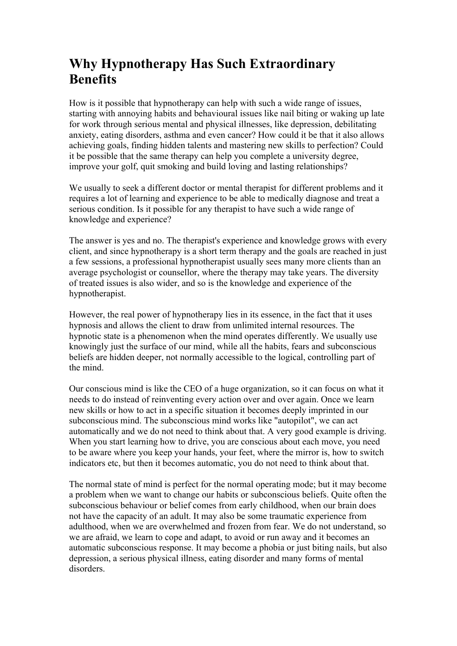## **Why Hypnotherapy Has Such Extraordinary Benefits**

How is it possible that hypnotherapy can help with such a wide range of issues, starting with annoying habits and behavioural issues like nail biting or waking up late for work through serious mental and physical illnesses, like depression, debilitating anxiety, eating disorders, asthma and even cancer? How could it be that it also allows achieving goals, finding hidden talents and mastering new skills to perfection? Could it be possible that the same therapy can help you complete a university degree, improve your golf, quit smoking and build loving and lasting relationships?

We usually to seek a different doctor or mental therapist for different problems and it requires a lot of learning and experience to be able to medically diagnose and treat a serious condition. Is it possible for any therapist to have such a wide range of knowledge and experience?

The answer is yes and no. The therapist's experience and knowledge grows with every client, and since hypnotherapy is a short term therapy and the goals are reached in just a few sessions, a professional hypnotherapist usually sees many more clients than an average psychologist or counsellor, where the therapy may take years. The diversity of treated issues is also wider, and so is the knowledge and experience of the hypnotherapist.

However, the real power of hypnotherapy lies in its essence, in the fact that it uses hypnosis and allows the client to draw from unlimited internal resources. The hypnotic state is a phenomenon when the mind operates differently. We usually use knowingly just the surface of our mind, while all the habits, fears and subconscious beliefs are hidden deeper, not normally accessible to the logical, controlling part of the mind.

Our conscious mind is like the CEO of a huge organization, so it can focus on what it needs to do instead of reinventing every action over and over again. Once we learn new skills or how to act in a specific situation it becomes deeply imprinted in our subconscious mind. The subconscious mind works like "autopilot", we can act automatically and we do not need to think about that. A very good example is driving. When you start learning how to drive, you are conscious about each move, you need to be aware where you keep your hands, your feet, where the mirror is, how to switch indicators etc, but then it becomes automatic, you do not need to think about that.

The normal state of mind is perfect for the normal operating mode; but it may become a problem when we want to change our habits or subconscious beliefs. Quite often the subconscious behaviour or belief comes from early childhood, when our brain does not have the capacity of an adult. It may also be some traumatic experience from adulthood, when we are overwhelmed and frozen from fear. We do not understand, so we are afraid, we learn to cope and adapt, to avoid or run away and it becomes an automatic subconscious response. It may become a phobia or just biting nails, but also depression, a serious physical illness, eating disorder and many forms of mental disorders.